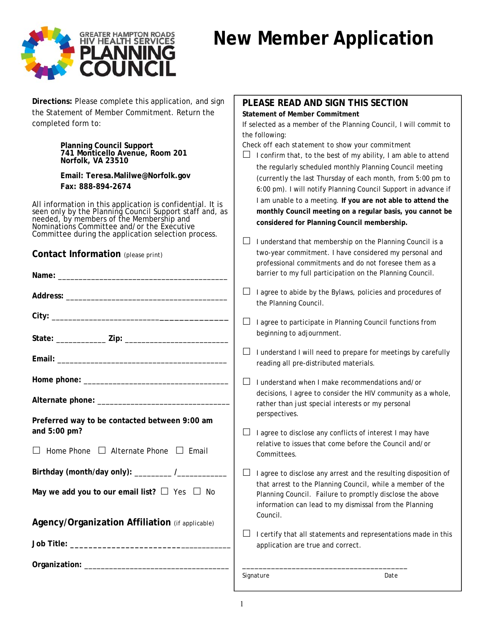

# **New Member Application**

| Directions: Please complete this application, and sign<br>the Statement of Member Commitment. Return the<br>completed form to:                                                                                                                                         | PLEASE READ AND SIGN THIS SECTION<br><b>Statement of Member Commitment</b><br>the following: | If selected as a member of the Planning Council, I will commit to                                                                                                                          |
|------------------------------------------------------------------------------------------------------------------------------------------------------------------------------------------------------------------------------------------------------------------------|----------------------------------------------------------------------------------------------|--------------------------------------------------------------------------------------------------------------------------------------------------------------------------------------------|
| Planning Council Support<br>741 Monticello Avenue, Room 201<br>Norfolk, VA 23510                                                                                                                                                                                       | Check off each statement to show your commitment<br>⊔                                        | I confirm that, to the best of my ability, I am able to attend<br>the regularly scheduled monthly Planning Council meeting                                                                 |
| Email: Teresa.Malilwe@Norfolk.gov                                                                                                                                                                                                                                      |                                                                                              | (currently the last Thursday of each month, from 5:00 pm to                                                                                                                                |
| Fax: 888-894-2674                                                                                                                                                                                                                                                      |                                                                                              |                                                                                                                                                                                            |
| All information in this application is confidential. It is<br>seen only by the Planning Council Support staff and, as<br>needed, by members of the Membership and<br>Nominations Committee and/or the Executive<br>Committee during the application selection process. | considered for Planning Council membership.                                                  | 6:00 pm). I will notify Planning Council Support in advance if<br>I am unable to a meeting. If you are not able to attend the<br>monthly Council meeting on a regular basis, you cannot be |
|                                                                                                                                                                                                                                                                        | $\Box$                                                                                       | I understand that membership on the Planning Council is a                                                                                                                                  |
| Contact Information (please print)                                                                                                                                                                                                                                     |                                                                                              | two-year commitment. I have considered my personal and<br>professional commitments and do not foresee them as a                                                                            |
|                                                                                                                                                                                                                                                                        |                                                                                              | barrier to my full participation on the Planning Council.                                                                                                                                  |
|                                                                                                                                                                                                                                                                        | $\Box$<br>the Planning Council.                                                              | I agree to abide by the Bylaws, policies and procedures of                                                                                                                                 |
|                                                                                                                                                                                                                                                                        |                                                                                              |                                                                                                                                                                                            |
|                                                                                                                                                                                                                                                                        | $\Box$<br>beginning to adjournment.                                                          | I agree to participate in Planning Council functions from                                                                                                                                  |
|                                                                                                                                                                                                                                                                        | $\Box$<br>reading all pre-distributed materials.                                             | I understand I will need to prepare for meetings by carefully                                                                                                                              |
|                                                                                                                                                                                                                                                                        |                                                                                              |                                                                                                                                                                                            |
|                                                                                                                                                                                                                                                                        | $\Box$<br>I understand when I make recommendations and/or                                    |                                                                                                                                                                                            |
|                                                                                                                                                                                                                                                                        | rather than just special interests or my personal                                            | decisions, I agree to consider the HIV community as a whole,                                                                                                                               |
| Preferred way to be contacted between 9:00 am                                                                                                                                                                                                                          | perspectives.                                                                                |                                                                                                                                                                                            |
| and 5:00 pm?                                                                                                                                                                                                                                                           |                                                                                              |                                                                                                                                                                                            |
|                                                                                                                                                                                                                                                                        |                                                                                              | I agree to disclose any conflicts of interest I may have                                                                                                                                   |
| Home Phone $\Box$ Alternate Phone $\Box$ Email                                                                                                                                                                                                                         | Committees.                                                                                  | relative to issues that come before the Council and/or                                                                                                                                     |
| Birthday (month/day only): _________ /__________                                                                                                                                                                                                                       | ப                                                                                            | I agree to disclose any arrest and the resulting disposition of                                                                                                                            |
| May we add you to our email list? $\Box$ Yes $\Box$ No                                                                                                                                                                                                                 |                                                                                              | that arrest to the Planning Council, while a member of the<br>Planning Council. Failure to promptly disclose the above<br>information can lead to my dismissal from the Planning           |
| Agency/Organization Affiliation (if applicable)                                                                                                                                                                                                                        | Council.                                                                                     |                                                                                                                                                                                            |
|                                                                                                                                                                                                                                                                        | application are true and correct.                                                            | I certify that all statements and representations made in this                                                                                                                             |
|                                                                                                                                                                                                                                                                        |                                                                                              |                                                                                                                                                                                            |
|                                                                                                                                                                                                                                                                        |                                                                                              |                                                                                                                                                                                            |
|                                                                                                                                                                                                                                                                        | Signature                                                                                    | Date                                                                                                                                                                                       |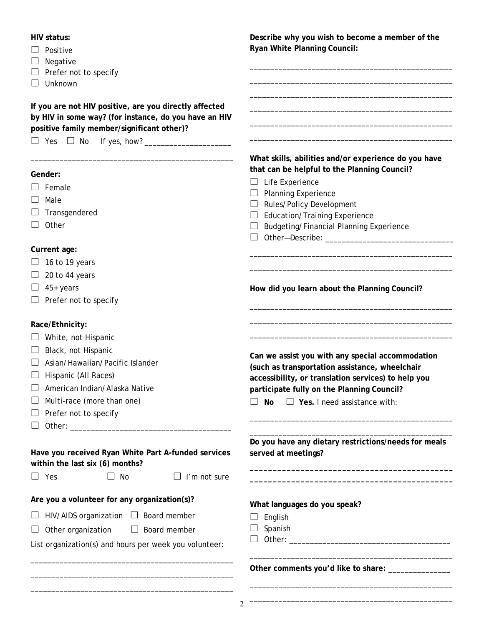## **HIV status:**

- $\Box$  Positive
- $\Box$  Negative
- $\Box$  Prefer not to specify
- $\Box$  Unknown

**If you are not HIV positive, are you directly affected by HIV in some way? (for instance, do you have an HIV positive family member/significant other)?** 

\_\_\_\_\_\_\_\_\_\_\_\_\_\_\_\_\_\_\_\_\_\_\_\_\_\_\_\_\_\_\_\_\_\_\_\_\_\_\_\_\_\_\_\_\_\_\_\_\_

 $\Box$  Yes  $\Box$  No If yes, how?

#### **Gender:**

- $\square$  Female
- $\Box$  Male
- $\Box$  Transgendered
- $\Box$  Other

#### **Current age:**

- $\Box$  16 to 19 years
- $\Box$  20 to 44 years
- $\Box$  45+ years
- $\Box$  Prefer not to specify

## **Race/Ethnicity:**

- $\Box$  White, not Hispanic
- $\Box$  Black, not Hispanic
- $\Box$  Asian/Hawaiian/Pacific Islander
- $\Box$  Hispanic (All Races)
- $\Box$  American Indian/Alaska Native
- $\Box$  Multi-race (more than one)
- $\Box$  Prefer not to specify
- Other: \_\_\_\_\_\_\_\_\_\_\_\_\_\_\_\_\_\_\_\_\_\_\_\_\_\_\_\_\_\_\_\_\_\_\_\_\_\_\_

## **Have you received Ryan White Part A-funded services within the last six (6) months?**

 $\Box$  Yes  $\Box$  No  $\Box$  I'm not sure

#### **Are you a volunteer for any organization(s)?**

## $\Box$  HIV/AIDS organization  $\Box$  Board member

 $\Box$  Other organization  $\Box$  Board member

List organization(s) and hours per week you volunteer:

\_\_\_\_\_\_\_\_\_\_\_\_\_\_\_\_\_\_\_\_\_\_\_\_\_\_\_\_\_\_\_\_\_\_\_\_\_\_\_\_\_\_\_\_\_\_\_\_\_ \_\_\_\_\_\_\_\_\_\_\_\_\_\_\_\_\_\_\_\_\_\_\_\_\_\_\_\_\_\_\_\_\_\_\_\_\_\_\_\_\_\_\_\_\_\_\_\_\_ \_\_\_\_\_\_\_\_\_\_\_\_\_\_\_\_\_\_\_\_\_\_\_\_\_\_\_\_\_\_\_\_\_\_\_\_\_\_\_\_\_\_\_\_\_\_\_\_\_ **Describe why you wish to become a member of the Ryan White Planning Council:** 

\_\_\_\_\_\_\_\_\_\_\_\_\_\_\_\_\_\_\_\_\_\_\_\_\_\_\_\_\_\_\_\_\_\_\_\_\_\_\_\_\_\_\_\_\_\_\_\_\_ \_\_\_\_\_\_\_\_\_\_\_\_\_\_\_\_\_\_\_\_\_\_\_\_\_\_\_\_\_\_\_\_\_\_\_\_\_\_\_\_\_\_\_\_\_\_\_\_\_ \_\_\_\_\_\_\_\_\_\_\_\_\_\_\_\_\_\_\_\_\_\_\_\_\_\_\_\_\_\_\_\_\_\_\_\_\_\_\_\_\_\_\_\_\_\_\_\_\_ \_\_\_\_\_\_\_\_\_\_\_\_\_\_\_\_\_\_\_\_\_\_\_\_\_\_\_\_\_\_\_\_\_\_\_\_\_\_\_\_\_\_\_\_\_\_\_\_\_ \_\_\_\_\_\_\_\_\_\_\_\_\_\_\_\_\_\_\_\_\_\_\_\_\_\_\_\_\_\_\_\_\_\_\_\_\_\_\_\_\_\_\_\_\_\_\_\_\_ \_\_\_\_\_\_\_\_\_\_\_\_\_\_\_\_\_\_\_\_\_\_\_\_\_\_\_\_\_\_\_\_\_\_\_\_\_\_\_\_\_\_\_\_\_\_\_\_\_

**What skills, abilities and/or experience do you have** 

Other—Describe: \_\_\_\_\_\_\_\_\_\_\_\_\_\_\_\_\_\_\_\_\_\_\_\_\_\_\_\_\_\_\_

\_\_\_\_\_\_\_\_\_\_\_\_\_\_\_\_\_\_\_\_\_\_\_\_\_\_\_\_\_\_\_\_\_\_\_\_\_\_\_\_\_\_\_\_\_\_\_\_\_ \_\_\_\_\_\_\_\_\_\_\_\_\_\_\_\_\_\_\_\_\_\_\_\_\_\_\_\_\_\_\_\_\_\_\_\_\_\_\_\_\_\_\_\_\_\_\_\_\_

\_\_\_\_\_\_\_\_\_\_\_\_\_\_\_\_\_\_\_\_\_\_\_\_\_\_\_\_\_\_\_\_\_\_\_\_\_\_\_\_\_\_\_\_\_\_\_\_\_ \_\_\_\_\_\_\_\_\_\_\_\_\_\_\_\_\_\_\_\_\_\_\_\_\_\_\_\_\_\_\_\_\_\_\_\_\_\_\_\_\_\_\_\_\_\_\_\_\_ \_\_\_\_\_\_\_\_\_\_\_\_\_\_\_\_\_\_\_\_\_\_\_\_\_\_\_\_\_\_\_\_\_\_\_\_\_\_\_\_\_\_\_\_\_\_\_\_\_

**that can be helpful to the Planning Council?** 

 $\Box$  Budgeting/Financial Planning Experience

 $\Box$  Life Experience  $\Box$  Planning Experience  $\Box$  Rules/Policy Development  $\Box$  Education/Training Experience

**How did you learn about the Planning Council?** 

**Can we assist you with any special accommodation (such as transportation assistance, wheelchair accessibility, or translation services) to help you participate fully on the Planning Council?** 

**No Yes.** I need assistance with:

**Do you have any dietary restrictions/needs for meals served at meetings?** 

**\_\_\_\_\_\_\_\_\_\_\_\_\_\_\_\_\_\_\_\_\_\_\_\_\_\_\_\_\_\_\_\_\_\_\_\_\_\_\_\_\_\_\_\_ \_\_\_\_\_\_\_\_\_\_\_\_\_\_\_\_\_\_\_\_\_\_\_\_\_\_\_\_\_\_\_\_\_\_\_\_\_\_\_\_\_\_\_\_** 

\_\_\_\_\_\_\_\_\_\_\_\_\_\_\_\_\_\_\_\_\_\_\_\_\_\_\_\_\_\_\_\_\_\_\_\_\_\_\_\_\_\_\_\_\_\_\_\_\_

\_\_\_\_\_\_\_\_\_\_\_\_\_\_\_\_\_\_\_\_\_\_\_\_\_\_\_\_\_\_\_\_\_\_\_\_\_\_\_\_\_\_\_\_\_\_\_\_\_ \_\_\_\_\_\_\_\_\_\_\_\_\_\_\_\_\_\_\_\_\_\_\_\_\_\_\_\_\_\_\_\_\_\_\_\_\_\_\_\_\_\_\_\_\_\_\_\_\_

\_\_\_\_\_\_\_\_\_\_\_\_\_\_\_\_\_\_\_\_\_\_\_\_\_\_\_\_\_\_\_\_\_\_\_\_\_\_\_\_\_\_\_\_\_\_\_\_\_ \_\_\_\_\_\_\_\_\_\_\_\_\_\_\_\_\_\_\_\_\_\_\_\_\_\_\_\_\_\_\_\_\_\_\_\_\_\_\_\_\_\_\_\_\_\_\_\_\_

**What languages do you speak?** 

- $\Box$  English
- $\Box$  Spanish
- Other: \_\_\_\_\_\_\_\_\_\_\_\_\_\_\_\_\_\_\_\_\_\_\_\_\_\_\_\_\_\_\_\_\_\_\_\_\_\_\_

**Other comments you'd like to share:** \_\_\_\_\_\_\_\_\_\_\_\_\_\_\_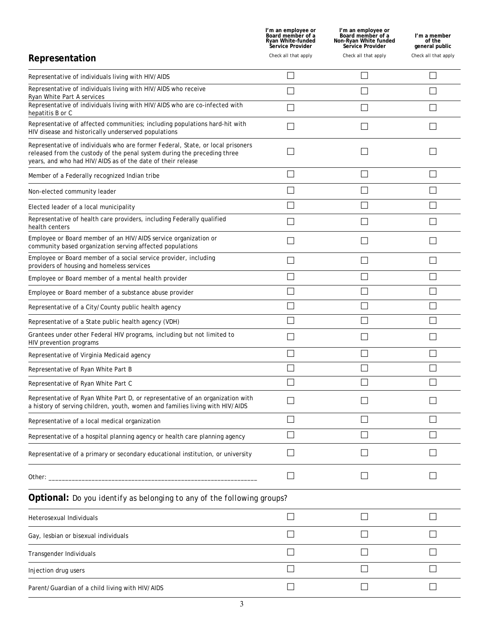|                                                                                                                                                                                                                                | l'm an employee or<br>Board member of a<br><b>Ryan White-funded</b><br>Service Provider | I'm an employee or<br>Board member of a<br>Non-Ryan White funded<br>Service Provider | I'm a member<br>of the<br>general public |
|--------------------------------------------------------------------------------------------------------------------------------------------------------------------------------------------------------------------------------|-----------------------------------------------------------------------------------------|--------------------------------------------------------------------------------------|------------------------------------------|
| Representation                                                                                                                                                                                                                 | Check all that apply                                                                    | Check all that apply                                                                 | Check all that apply                     |
| Representative of individuals living with HIV/AIDS                                                                                                                                                                             |                                                                                         |                                                                                      |                                          |
| Representative of individuals living with HIV/AIDS who receive<br>Ryan White Part A services                                                                                                                                   |                                                                                         |                                                                                      |                                          |
| Representative of individuals living with HIV/AIDS who are co-infected with<br>hepatitis B or C                                                                                                                                |                                                                                         |                                                                                      |                                          |
| Representative of affected communities; including populations hard-hit with<br>HIV disease and historically underserved populations                                                                                            |                                                                                         |                                                                                      |                                          |
| Representative of individuals who are former Federal, State, or local prisoners<br>released from the custody of the penal system during the preceding three<br>years, and who had HIV/AIDS as of the date of their release     |                                                                                         |                                                                                      |                                          |
| Member of a Federally recognized Indian tribe                                                                                                                                                                                  |                                                                                         |                                                                                      |                                          |
| Non-elected community leader                                                                                                                                                                                                   |                                                                                         |                                                                                      |                                          |
| Elected leader of a local municipality                                                                                                                                                                                         |                                                                                         |                                                                                      |                                          |
| Representative of health care providers, including Federally qualified<br>health centers                                                                                                                                       |                                                                                         |                                                                                      |                                          |
| Employee or Board member of an HIV/AIDS service organization or<br>community based organization serving affected populations                                                                                                   |                                                                                         |                                                                                      |                                          |
| Employee or Board member of a social service provider, including<br>providers of housing and homeless services                                                                                                                 |                                                                                         |                                                                                      |                                          |
| Employee or Board member of a mental health provider                                                                                                                                                                           |                                                                                         |                                                                                      |                                          |
| Employee or Board member of a substance abuse provider                                                                                                                                                                         |                                                                                         |                                                                                      |                                          |
| Representative of a City/County public health agency                                                                                                                                                                           |                                                                                         |                                                                                      |                                          |
| Representative of a State public health agency (VDH)                                                                                                                                                                           |                                                                                         |                                                                                      |                                          |
| Grantees under other Federal HIV programs, including but not limited to<br>HIV prevention programs                                                                                                                             |                                                                                         |                                                                                      |                                          |
| Representative of Virginia Medicaid agency                                                                                                                                                                                     |                                                                                         |                                                                                      |                                          |
| Representative of Ryan White Part B                                                                                                                                                                                            |                                                                                         |                                                                                      |                                          |
| Representative of Ryan White Part C                                                                                                                                                                                            |                                                                                         |                                                                                      |                                          |
| Representative of Ryan White Part D, or representative of an organization with<br>a history of serving children, youth, women and families living with HIV/AIDS                                                                |                                                                                         |                                                                                      |                                          |
| Representative of a local medical organization                                                                                                                                                                                 |                                                                                         |                                                                                      |                                          |
| Representative of a hospital planning agency or health care planning agency                                                                                                                                                    |                                                                                         | $\vert \ \ \vert$                                                                    |                                          |
| Representative of a primary or secondary educational institution, or university                                                                                                                                                |                                                                                         | L                                                                                    |                                          |
| Other: the contract of the contract of the contract of the contract of the contract of the contract of the contract of the contract of the contract of the contract of the contract of the contract of the contract of the con |                                                                                         | M.                                                                                   |                                          |
| <b>Optional:</b> Do you identify as belonging to any of the following groups?                                                                                                                                                  |                                                                                         |                                                                                      |                                          |
| Heterosexual Individuals                                                                                                                                                                                                       |                                                                                         | $\Box$                                                                               |                                          |
| Gay, lesbian or bisexual individuals                                                                                                                                                                                           |                                                                                         | $\vert \ \ \vert$                                                                    |                                          |
| Transgender Individuals                                                                                                                                                                                                        |                                                                                         |                                                                                      |                                          |
| Injection drug users                                                                                                                                                                                                           |                                                                                         |                                                                                      |                                          |
| Parent/Guardian of a child living with HIV/AIDS                                                                                                                                                                                |                                                                                         |                                                                                      |                                          |